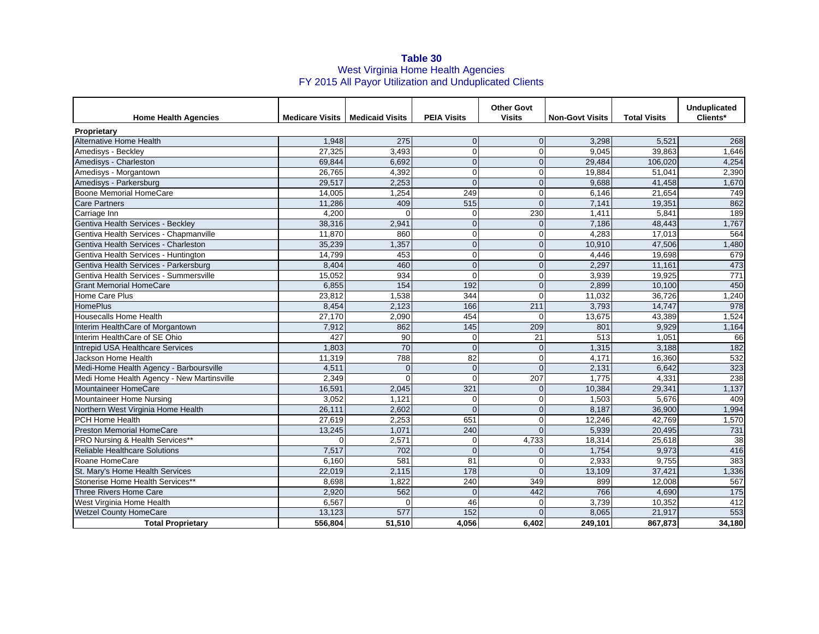## **Table 30** West Virginia Home Health Agencies FY 2015 All Payor Utilization and Unduplicated Clients

| <b>Home Health Agencies</b>                |          | <b>Medicare Visits   Medicaid Visits</b> | <b>PEIA Visits</b> | <b>Other Govt</b><br><b>Visits</b> | <b>Non-Govt Visits</b> | <b>Total Visits</b> | Unduplicated<br>Clients* |
|--------------------------------------------|----------|------------------------------------------|--------------------|------------------------------------|------------------------|---------------------|--------------------------|
| <b>Proprietary</b>                         |          |                                          |                    |                                    |                        |                     |                          |
| <b>Alternative Home Health</b>             | 1.948    | 275                                      | $\Omega$           | $\Omega$                           | 3.298                  | 5.521               | 268                      |
| Amedisys - Beckley                         | 27,325   | 3.493                                    | $\mathbf 0$        | $\mathbf 0$                        | 9,045                  | 39,863              | 1,646                    |
| Amedisys - Charleston                      | 69,844   | 6.692                                    | $\mathbf 0$        | $\overline{0}$                     | 29,484                 | 106,020             | 4,254                    |
| Amedisys - Morgantown                      | 26,765   | 4,392                                    | $\mathbf 0$        | 0                                  | 19,884                 | 51,041              | 2,390                    |
| Amedisys - Parkersburg                     | 29,517   | 2,253                                    | $\Omega$           | $\mathbf 0$                        | 9,688                  | 41,458              | 1,670                    |
| Boone Memorial HomeCare                    | 14,005   | 1,254                                    | 249                | $\Omega$                           | 6,146                  | 21,654              | 749                      |
| <b>Care Partners</b>                       | 11,286   | 409                                      | 515                | $\overline{0}$                     | 7,141                  | 19,351              | 862                      |
| Carriage Inn                               | 4,200    | $\Omega$                                 | $\mathbf 0$        | 230                                | 1,411                  | 5,841               | 189                      |
| Gentiva Health Services - Beckley          | 38,316   | 2,941                                    | $\overline{0}$     | $\overline{0}$                     | 7,186                  | 48,443              | 1,767                    |
| Gentiva Health Services - Chapmanville     | 11.870   | 860                                      | $\mathbf 0$        | 0                                  | 4,283                  | 17.013              | 564                      |
| Gentiva Health Services - Charleston       | 35,239   | 1,357                                    | $\overline{0}$     | $\overline{0}$                     | 10,910                 | 47,506              | 1,480                    |
| Gentiva Health Services - Huntington       | 14,799   | 453                                      | $\mathbf 0$        | 0                                  | 4,446                  | 19,698              | 679                      |
| Gentiva Health Services - Parkersburg      | 8.404    | 460                                      | $\overline{0}$     | $\overline{0}$                     | 2.297                  | 11,161              | 473                      |
| Gentiva Health Services - Summersville     | 15,052   | 934                                      | $\Omega$           | 0                                  | 3,939                  | 19,925              | $\overline{771}$         |
| <b>Grant Memorial HomeCare</b>             | 6,855    | 154                                      | 192                | $\overline{0}$                     | 2.899                  | 10,100              | 450                      |
| Home Care Plus                             | 23,812   | 1,538                                    | 344                | $\mathbf 0$                        | 11,032                 | 36,726              | 1,240                    |
| <b>HomePlus</b>                            | 8,454    | 2,123                                    | 166                | 211                                | 3,793                  | 14,747              | 978                      |
| <b>Housecalls Home Health</b>              | 27,170   | 2,090                                    | 454                | $\Omega$                           | 13,675                 | 43.389              | 1,524                    |
| Interim HealthCare of Morgantown           | 7,912    | 862                                      | 145                | 209                                | 801                    | 9,929               | 1,164                    |
| Interim HealthCare of SE Ohio              | 427      | 90                                       | $\mathbf 0$        | 21                                 | $\overline{513}$       | 1,051               | 66                       |
| Intrepid USA Healthcare Services           | 1,803    | 70                                       | $\Omega$           | $\Omega$                           | 1,315                  | 3.188               | 182                      |
| Jackson Home Health                        | 11,319   | 788                                      | 82                 | $\mathbf 0$                        | 4,171                  | 16,360              | 532                      |
| Medi-Home Health Agency - Barboursville    | 4,511    | $\Omega$                                 | $\mathbf 0$        | $\Omega$                           | 2,131                  | 6,642               | 323                      |
| Medi Home Health Agency - New Martinsville | 2,349    | $\Omega$                                 | $\Omega$           | 207                                | 1,775                  | 4,331               | 238                      |
| Mountaineer HomeCare                       | 16,591   | 2,045                                    | 321                | $\mathbf{0}$                       | 10,384                 | 29,341              | 1,137                    |
| Mountaineer Home Nursing                   | 3,052    | 1,121                                    | $\mathbf 0$        | 0                                  | 1,503                  | 5,676               | 409                      |
| Northern West Virginia Home Health         | 26,111   | 2,602                                    | $\Omega$           | $\mathbf 0$                        | 8,187                  | 36,900              | 1,994                    |
| <b>PCH Home Health</b>                     | 27.619   | 2,253                                    | 651                | 0                                  | 12.246                 | 42.769              | 1,570                    |
| <b>Preston Memorial HomeCare</b>           | 13,245   | 1,071                                    | 240                | $\Omega$                           | 5,939                  | 20,495              | 731                      |
| PRO Nursing & Health Services**            | $\Omega$ | 2,571                                    | $\mathbf 0$        | 4,733                              | 18,314                 | 25,618              | 38                       |
| <b>Reliable Healthcare Solutions</b>       | 7,517    | 702                                      | $\overline{0}$     | $\mathbf{0}$                       | 1,754                  | 9,973               | 416                      |
| Roane HomeCare                             | 6.160    | 581                                      | 81                 | $\mathbf 0$                        | 2,933                  | 9.755               | 383                      |
| St. Mary's Home Health Services            | 22.019   | 2,115                                    | 178                | $\Omega$                           | 13,109                 | 37,421              | 1,336                    |
| Stonerise Home Health Services**           | 8,698    | 1,822                                    | 240                | 349                                | 899                    | 12,008              | 567                      |
| Three Rivers Home Care                     | 2,920    | 562                                      | $\Omega$           | 442                                | 766                    | 4,690               | 175                      |
| West Virginia Home Health                  | 6,567    | 0                                        | 46                 | $\Omega$                           | 3.739                  | 10,352              | 412                      |
| <b>Wetzel County HomeCare</b>              | 13,123   | 577                                      | 152                | 0                                  | 8,065                  | 21,917              | 553                      |
| <b>Total Proprietary</b>                   | 556,804  | 51,510                                   | 4,056              | 6,402                              | 249,101                | 867,873             | 34,180                   |